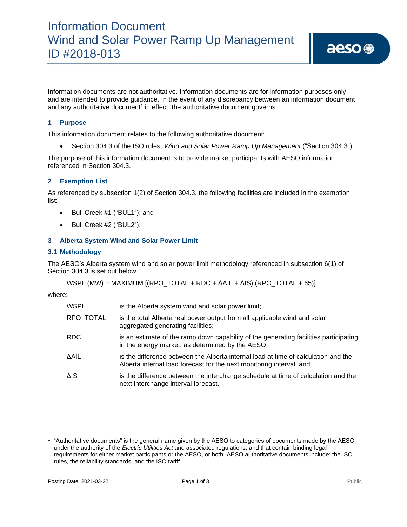Information documents are not authoritative. Information documents are for information purposes only and are intended to provide guidance. In the event of any discrepancy between an information document and any authoritative document<sup>1</sup> in effect, the authoritative document governs.

## **1 Purpose**

This information document relates to the following authoritative document:

• Section 304.3 of the ISO rules, *Wind and Solar Power Ramp Up Management* ("Section 304.3")

The purpose of this information document is to provide market participants with AESO information referenced in Section 304.3.

## **2 Exemption List**

As referenced by subsection 1(2) of Section 304.3, the following facilities are included in the exemption list:

- Bull Creek #1 ("BUL1"); and
- Bull Creek #2 ("BUL2").

#### **3 Alberta System Wind and Solar Power Limit**

#### **3.1 Methodology**

The AESO's Alberta system wind and solar power limit methodology referenced in subsection 6(1) of Section 304.3 is set out below.

WSPL (MW) = MAXIMUM  $[(RPO_TOTAL + RDC + \Delta AIL + \Delta IS)(RPO_TOTAL + 65)]$ 

where:

| RPO_TOTAL<br>is the total Alberta real power output from all applicable wind and solar<br>aggregated generating facilities;<br>RDC<br>in the energy market, as determined by the AESO;<br>∆AIL<br>Alberta internal load forecast for the next monitoring interval; and<br>ΔIS<br>next interchange interval forecast. | WSPL | is the Alberta system wind and solar power limit;                                     |
|----------------------------------------------------------------------------------------------------------------------------------------------------------------------------------------------------------------------------------------------------------------------------------------------------------------------|------|---------------------------------------------------------------------------------------|
|                                                                                                                                                                                                                                                                                                                      |      |                                                                                       |
|                                                                                                                                                                                                                                                                                                                      |      | is an estimate of the ramp down capability of the generating facilities participating |
|                                                                                                                                                                                                                                                                                                                      |      | is the difference between the Alberta internal load at time of calculation and the    |
|                                                                                                                                                                                                                                                                                                                      |      | is the difference between the interchange schedule at time of calculation and the     |

<sup>1</sup> "Authoritative documents" is the general name given by the AESO to categories of documents made by the AESO under the authority of the *Electric Utilities Act* and associated regulations, and that contain binding legal requirements for either market participants or the AESO, or both. AESO authoritative documents include: the ISO rules, the reliability standards, and the ISO tariff.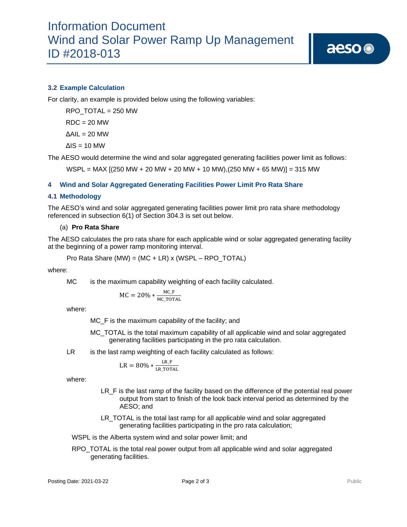## **3.2 Example Calculation**

For clarity, an example is provided below using the following variables:

RPO\_TOTAL = 250 MW  $RDC = 20$  MW

 $ΔAIL = 20 MW$ 

 $ΔIS = 10 MW$ 

The AESO would determine the wind and solar aggregated generating facilities power limit as follows:

 $WSPL = MAX [(250 MW + 20 MW + 20 MW + 10 MW)] (250 MW + 65 MW)] = 315 MW$ 

## **4 Wind and Solar Aggregated Generating Facilities Power Limit Pro Rata Share**

#### **4.1 Methodology**

The AESO's wind and solar aggregated generating facilities power limit pro rata share methodology referenced in subsection 6(1) of Section 304.3 is set out below.

#### (a) **Pro Rata Share**

The AESO calculates the pro rata share for each applicable wind or solar aggregated generating facility at the beginning of a power ramp monitoring interval.

Pro Rata Share (MW) = (MC + LR) x (WSPL – RPO\_TOTAL)

where:

MC is the maximum capability weighting of each facility calculated.

$$
MC = 20\% * \frac{MC_F}{MC_TOTAL}
$$

where:

MC\_F is the maximum capability of the facility; and

MC\_TOTAL is the total maximum capability of all applicable wind and solar aggregated generating facilities participating in the pro rata calculation.

LR is the last ramp weighting of each facility calculated as follows:

$$
LR = 80\% * \frac{LR_F}{LR_TOTAL}
$$

where:

- LR\_F is the last ramp of the facility based on the difference of the potential real power output from start to finish of the look back interval period as determined by the AESO; and
- LR TOTAL is the total last ramp for all applicable wind and solar aggregated generating facilities participating in the pro rata calculation;

WSPL is the Alberta system wind and solar power limit; and

RPO\_TOTAL is the total real power output from all applicable wind and solar aggregated generating facilities.